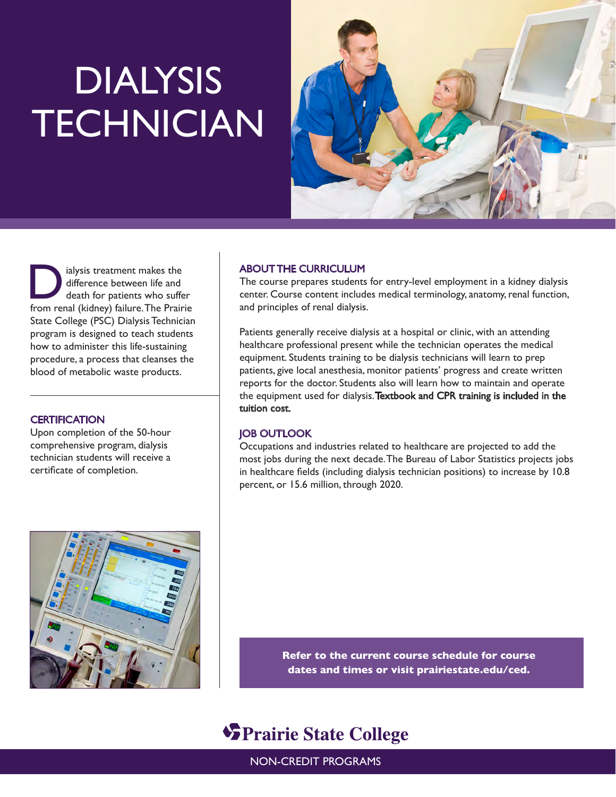# DIALYSIS **TECHNICIAN**



alysis treatment makes the<br>difference between life and<br>death for patients who suffer difference between life and death for patients who suffer from renal (kidney) failure. The Prairie State College (PSC) Dialysis Technician program is designed to teach students how to administer this life-sustaining procedure, a process that cleanses the blood of metabolic waste products.

## **CERTIFICATION**

Upon completion of the 50-hour comprehensive program, dialysis technician students will receive a certificate of completion.

# ABOUT THE CURRICULUM

The course prepares students for entry-level employment in a kidney dialysis center. Course content includes medical terminology, anatomy, renal function, and principles of renal dialysis.

Patients generally receive dialysis at a hospital or clinic, with an attending healthcare professional present while the technician operates the medical equipment. Students training to be dialysis technicians will learn to prep patients, give local anesthesia, monitor patients' progress and create written reports for the doctor. Students also will learn how to maintain and operate the equipment used for dialysis. Textbook and CPR training is included in the tuition cost.

### JOB OUTLOOK

Occupations and industries related to healthcare are projected to add the most jobs during the next decade. The Bureau of Labor Statistics projects jobs in healthcare fields (including dialysis technician positions) to increase by 10.8 percent, or 15.6 million, through 2020.



**Refer to the current course schedule for course dates and times or visit prairiestate.edu/ced.**

# **SPrairie State College**

NON-CREDIT PROGRAMS